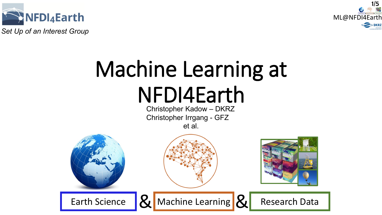

*Set Up of an Interest Group*



## Machine Learning at NFDI4Earth

Christopher Kadow – DKRZ Christopher Irrgang - GFZ et al.

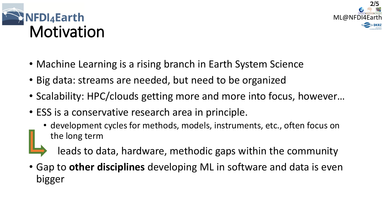



- Machine Learning is a rising branch in Earth System Science
- Big data: streams are needed, but need to be organized
- Scalability: HPC/clouds getting more and more into focus, however…
- ESS is a conservative research area in principle.
	- development cycles for methods, models, instruments, etc., often focus on the long term



leads to data, hardware, methodic gaps within the community

• Gap to **other disciplines** developing ML in software and data is even bigger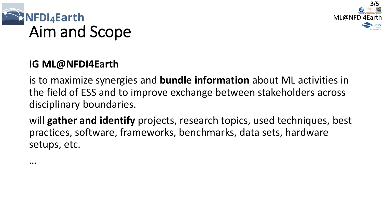



## **IG ML@NFDI4Earth**

is to maximize synergies and **bundle information** about ML activities in the field of ESS and to improve exchange between stakeholders across disciplinary boundaries.

will **gather and identify** projects, research topics, used techniques, best practices, software, frameworks, benchmarks, data sets, hardware setups, etc.

…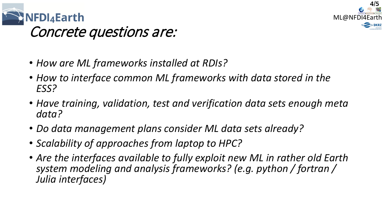



## Concrete questions are:

- *How are ML frameworks installed at RDIs?*
- *How to interface common ML frameworks with data stored in the ESS?*
- *Have training, validation, test and verification data sets enough meta data?*
- *Do data management plans consider ML data sets already?*
- *Scalability of approaches from laptop to HPC?*
- *Are the interfaces available to fully exploit new ML in rather old Earth system modeling and analysis frameworks? (e.g. python / fortran / Julia interfaces)*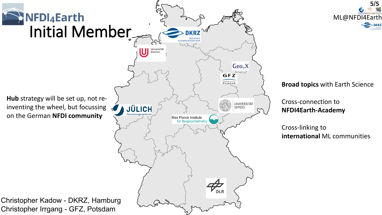



## **Broad topics** with Earth Science

Cross-connection to **NFDI4Earth-Academy**

Cross-linking to **international** ML communities